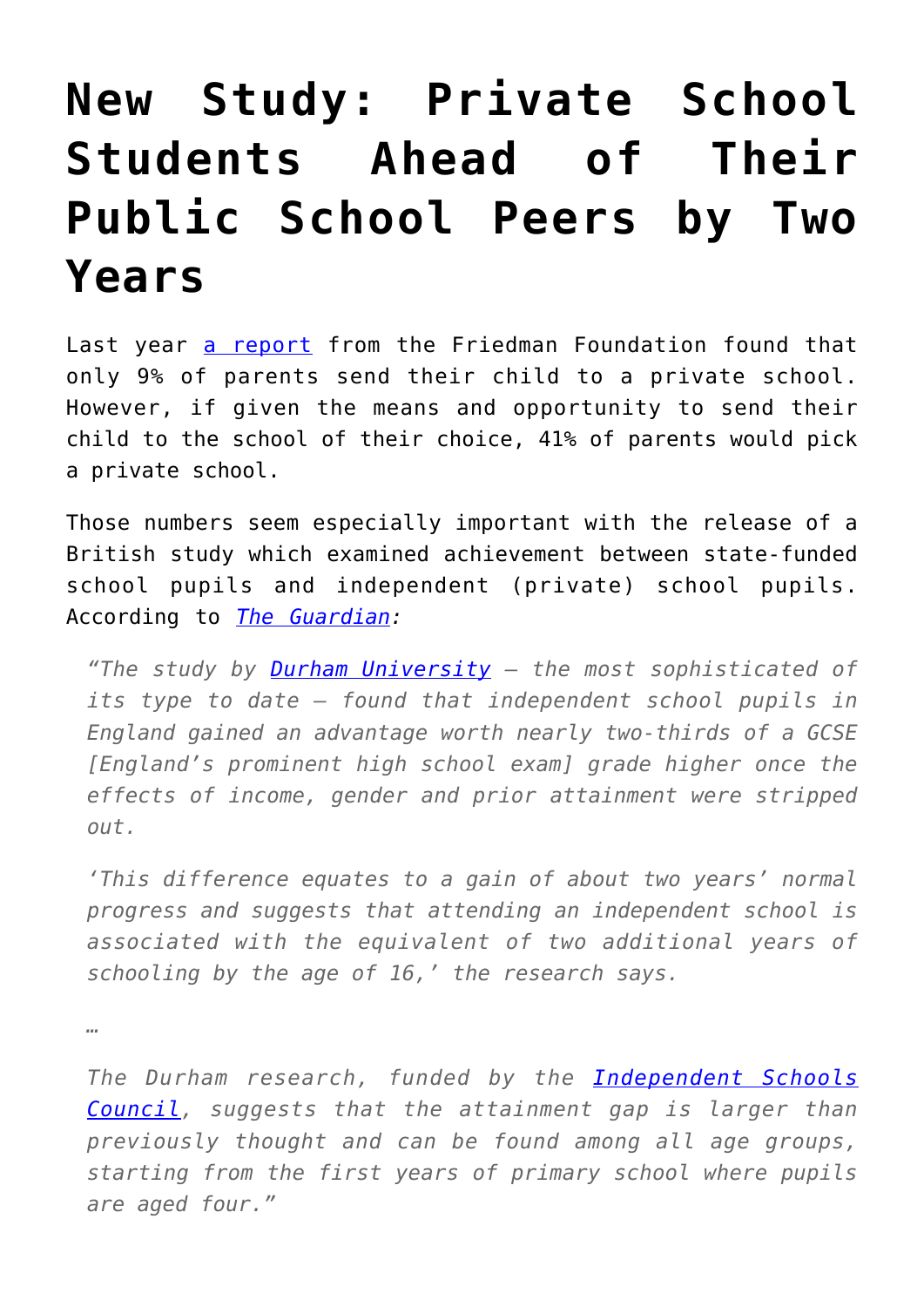## **[New Study: Private School](https://intellectualtakeout.org/2016/02/new-study-private-school-students-ahead-of-their-public-school-peers-by-two-years/) [Students Ahead of Their](https://intellectualtakeout.org/2016/02/new-study-private-school-students-ahead-of-their-public-school-peers-by-two-years/) [Public School Peers by Two](https://intellectualtakeout.org/2016/02/new-study-private-school-students-ahead-of-their-public-school-peers-by-two-years/) [Years](https://intellectualtakeout.org/2016/02/new-study-private-school-students-ahead-of-their-public-school-peers-by-two-years/)**

Last year [a report](http://www.edchoice.org/wp-content/uploads/2015/07/SIA-Poll-Full-Report-WEB-6-29-15.pdf) from the Friedman Foundation found that only 9% of parents send their child to a private school. However, if given the means and opportunity to send their child to the school of their choice, 41% of parents would pick a private school.

Those numbers seem especially important with the release of a British study which examined achievement between state-funded school pupils and independent (private) school pupils. According to *[The Guardian:](http://www.theguardian.com/education/2016/feb/26/private-school-gives-pupils-a-boost-worth-two-extra-years-of-education-research-shows)*

*"The study by [Durham University](http://www.theguardian.com/education/durhamuniversity) – the most sophisticated of its type to date – found that independent school pupils in England gained an advantage worth nearly two-thirds of a GCSE [England's prominent high school exam] grade higher once the effects of income, gender and prior attainment were stripped out.*

*'This difference equates to a gain of about two years' normal progress and suggests that attending an independent school is associated with the equivalent of two additional years of schooling by the age of 16,' the research says.*

*…*

*The Durham research, funded by the [Independent Schools](http://www.isc.co.uk/) [Council,](http://www.isc.co.uk/) suggests that the attainment gap is larger than previously thought and can be found among all age groups, starting from the first years of primary school where pupils are aged four."*